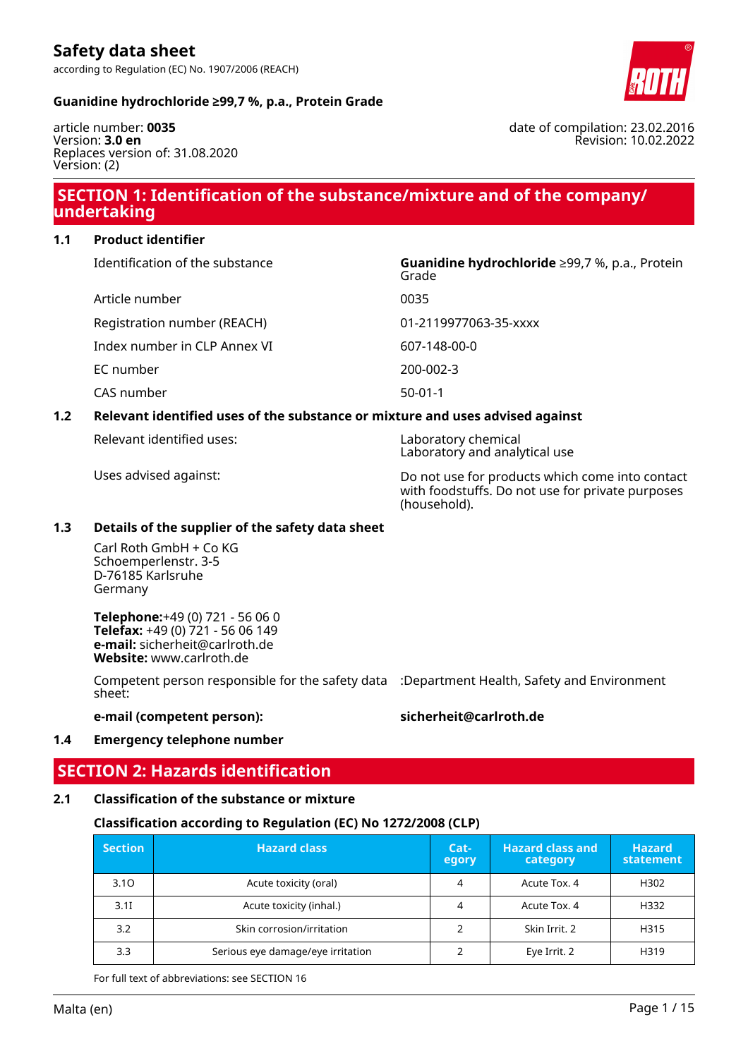

# **Guanidine hydrochloride ≥99,7 %, p.a., Protein Grade**

article number: **0035** Version: **3.0 en** Replaces version of: 31.08.2020 Version: (2)

# **SECTION 1: Identification of the substance/mixture and of the company/ undertaking**

**1.1 Product identifier**

| Identification of the substance | Guanidine hydrochloride ≥99,7 %, p.a., Protein<br>Grade |  |
|---------------------------------|---------------------------------------------------------|--|
| Article number                  | 0035                                                    |  |
| Registration number (REACH)     | 01-2119977063-35-xxxx                                   |  |
| Index number in CLP Annex VI    | 607-148-00-0                                            |  |
| EC number                       | 200-002-3                                               |  |
| CAS number                      | $50-01-1$                                               |  |
|                                 |                                                         |  |

# **1.2 Relevant identified uses of the substance or mixture and uses advised against**

Relevant identified uses: Laboratory chemical

Laboratory and analytical use

Uses advised against: Do not use for products which come into contact with foodstuffs. Do not use for private purposes (household).

### **1.3 Details of the supplier of the safety data sheet**

Carl Roth GmbH + Co KG Schoemperlenstr. 3-5 D-76185 Karlsruhe Germany

**Telephone:**+49 (0) 721 - 56 06 0 **Telefax:** +49 (0) 721 - 56 06 149 **e-mail:** sicherheit@carlroth.de **Website:** www.carlroth.de

Competent person responsible for the safety data :Department Health, Safety and Environment sheet:

**e-mail (competent person): sicherheit@carlroth.de**

#### **1.4 Emergency telephone number**

# **SECTION 2: Hazards identification**

**2.1 Classification of the substance or mixture**

#### **Classification according to Regulation (EC) No 1272/2008 (CLP)**

| <b>Section</b>                   | <b>Hazard class</b>               |               | <b>Hazard class and</b><br>category | <b>Hazard</b><br>statement |
|----------------------------------|-----------------------------------|---------------|-------------------------------------|----------------------------|
| 3.10                             | Acute toxicity (oral)             |               | Acute Tox. 4                        | H302                       |
| 3.1                              | Acute toxicity (inhal.)           |               | Acute Tox. 4                        | H332                       |
| Skin corrosion/irritation<br>3.2 |                                   | Skin Irrit, 2 | H315                                |                            |
| 3.3                              | Serious eye damage/eye irritation |               | Eye Irrit. 2                        | H319                       |

For full text of abbreviations: see SECTION 16

date of compilation: 23.02.2016 Revision: 10.02.2022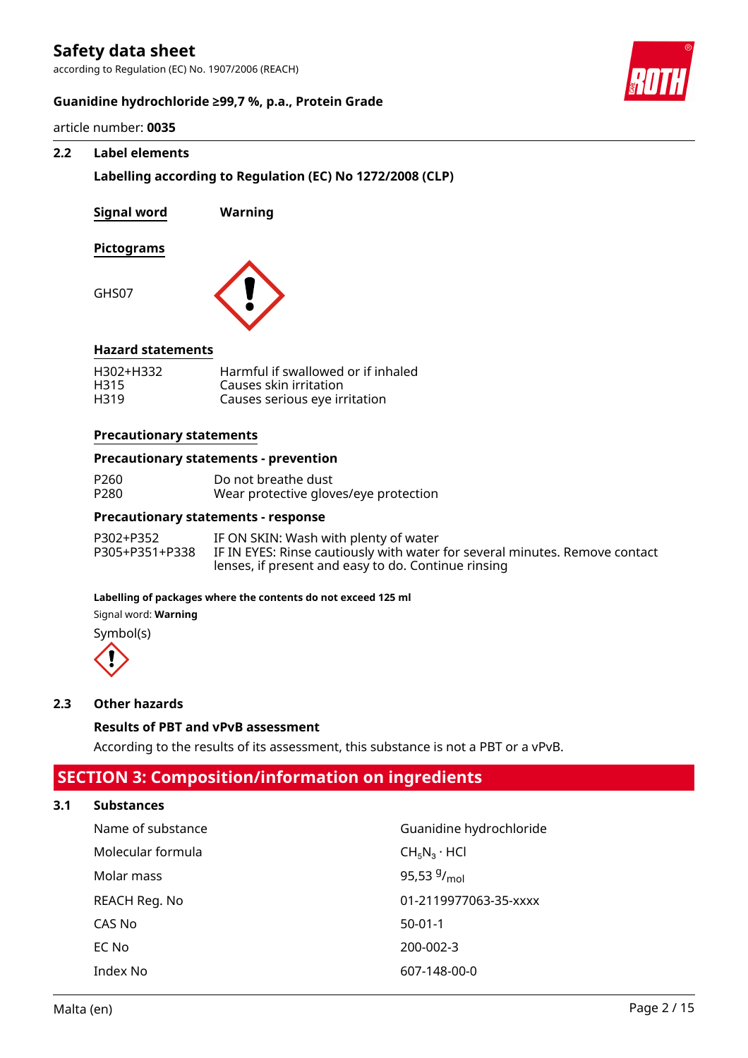according to Regulation (EC) No. 1907/2006 (REACH)



### **Guanidine hydrochloride ≥99,7 %, p.a., Protein Grade**

article number: **0035**

### **2.2 Label elements**

**Labelling according to Regulation (EC) No 1272/2008 (CLP)**

| Signal word | Warning |
|-------------|---------|
| Pictograms  |         |
| GHS07       |         |



# **Hazard statements**

| H302+H332 | Harmful if swallowed or if inhaled |
|-----------|------------------------------------|
| H315      | Causes skin irritation             |
| H319      | Causes serious eye irritation      |

### **Precautionary statements**

#### **Precautionary statements - prevention**

| P260 | Do not breathe dust                   |
|------|---------------------------------------|
| P280 | Wear protective gloves/eye protection |

#### **Precautionary statements - response**

| P302+P352      | IF ON SKIN: Wash with plenty of water                                       |
|----------------|-----------------------------------------------------------------------------|
| P305+P351+P338 | IF IN EYES: Rinse cautiously with water for several minutes. Remove contact |
|                | lenses, if present and easy to do. Continue rinsing                         |

#### **Labelling of packages where the contents do not exceed 125 ml**

Signal word: **Warning**

Symbol(s)



### **2.3 Other hazards**

#### **Results of PBT and vPvB assessment**

According to the results of its assessment, this substance is not a PBT or a vPvB.

# **SECTION 3: Composition/information on ingredients**

# **3.1 Substances**

| Name of substance | Guanidine hydrochloride |
|-------------------|-------------------------|
| Molecular formula | $CH_5N_3 \cdot HCl$     |
| Molar mass        | 95,53 $9/_{mol}$        |
| REACH Reg. No     | 01-2119977063-35-xxxx   |
| CAS No            | $50-01-1$               |
| EC No             | 200-002-3               |
| Index No          | 607-148-00-0            |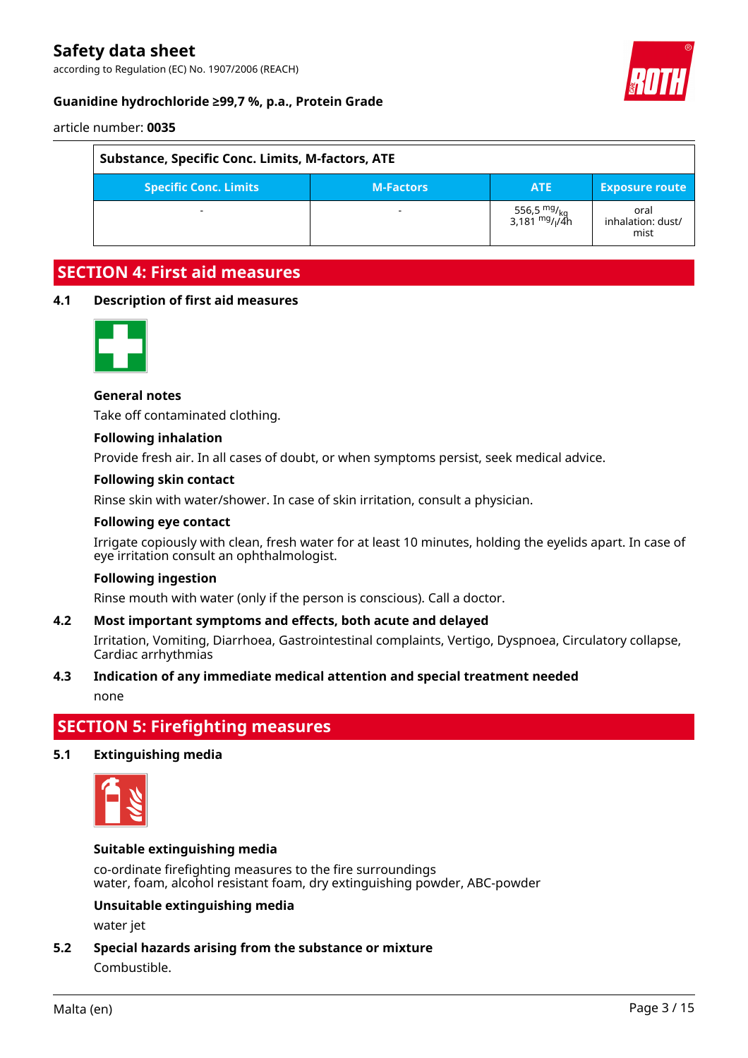according to Regulation (EC) No. 1907/2006 (REACH)





article number: **0035**

| Substance, Specific Conc. Limits, M-factors, ATE |            |                                                                               |                                   |  |
|--------------------------------------------------|------------|-------------------------------------------------------------------------------|-----------------------------------|--|
| <b>Specific Conc. Limits</b>                     | <b>ATE</b> | <b>Exposure route</b>                                                         |                                   |  |
|                                                  |            | 556,5 <sup>mg</sup> / <sub>kg</sub><br>3,181 <sup>mg</sup> / <sub>l</sub> /4h | oral<br>inhalation: dust/<br>mist |  |

# **SECTION 4: First aid measures**

#### **4.1 Description of first aid measures**



### **General notes**

Take off contaminated clothing.

#### **Following inhalation**

Provide fresh air. In all cases of doubt, or when symptoms persist, seek medical advice.

#### **Following skin contact**

Rinse skin with water/shower. In case of skin irritation, consult a physician.

#### **Following eye contact**

Irrigate copiously with clean, fresh water for at least 10 minutes, holding the eyelids apart. In case of eye irritation consult an ophthalmologist.

#### **Following ingestion**

Rinse mouth with water (only if the person is conscious). Call a doctor.

#### **4.2 Most important symptoms and effects, both acute and delayed**

Irritation, Vomiting, Diarrhoea, Gastrointestinal complaints, Vertigo, Dyspnoea, Circulatory collapse, Cardiac arrhythmias

#### **4.3 Indication of any immediate medical attention and special treatment needed**

none

# **SECTION 5: Firefighting measures**

#### **5.1 Extinguishing media**



#### **Suitable extinguishing media**

co-ordinate firefighting measures to the fire surroundings water, foam, alcohol resistant foam, dry extinguishing powder, ABC-powder

# **Unsuitable extinguishing media**

water jet

**5.2 Special hazards arising from the substance or mixture** Combustible.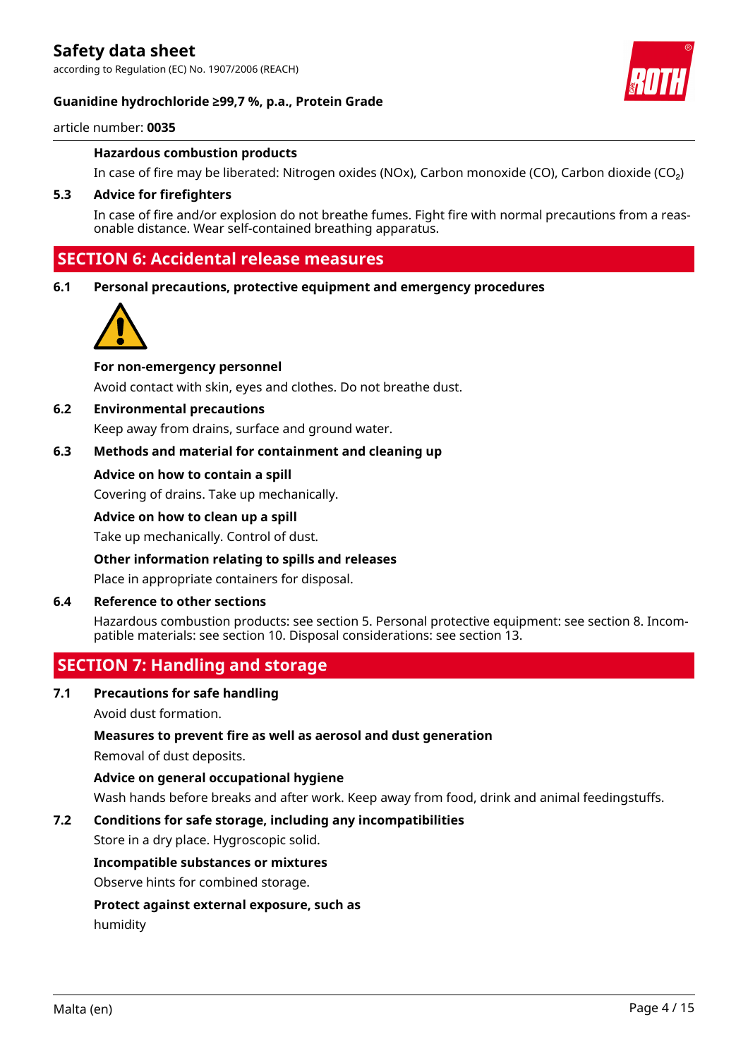according to Regulation (EC) No. 1907/2006 (REACH)

### **Guanidine hydrochloride ≥99,7 %, p.a., Protein Grade**



article number: **0035**

#### **Hazardous combustion products**

In case of fire may be liberated: Nitrogen oxides (NOx), Carbon monoxide (CO), Carbon dioxide (CO₂)

#### **5.3 Advice for firefighters**

In case of fire and/or explosion do not breathe fumes. Fight fire with normal precautions from a reasonable distance. Wear self-contained breathing apparatus.

# **SECTION 6: Accidental release measures**

**6.1 Personal precautions, protective equipment and emergency procedures**



#### **For non-emergency personnel**

Avoid contact with skin, eyes and clothes. Do not breathe dust.

### **6.2 Environmental precautions**

Keep away from drains, surface and ground water.

### **6.3 Methods and material for containment and cleaning up**

#### **Advice on how to contain a spill**

Covering of drains. Take up mechanically.

#### **Advice on how to clean up a spill**

Take up mechanically. Control of dust.

#### **Other information relating to spills and releases**

Place in appropriate containers for disposal.

#### **6.4 Reference to other sections**

Hazardous combustion products: see section 5. Personal protective equipment: see section 8. Incompatible materials: see section 10. Disposal considerations: see section 13.

# **SECTION 7: Handling and storage**

**7.1 Precautions for safe handling**

Avoid dust formation.

#### **Measures to prevent fire as well as aerosol and dust generation**

Removal of dust deposits.

### **Advice on general occupational hygiene**

Wash hands before breaks and after work. Keep away from food, drink and animal feedingstuffs.

#### **7.2 Conditions for safe storage, including any incompatibilities**

Store in a dry place. Hygroscopic solid.

#### **Incompatible substances or mixtures**

Observe hints for combined storage.

#### **Protect against external exposure, such as**

humidity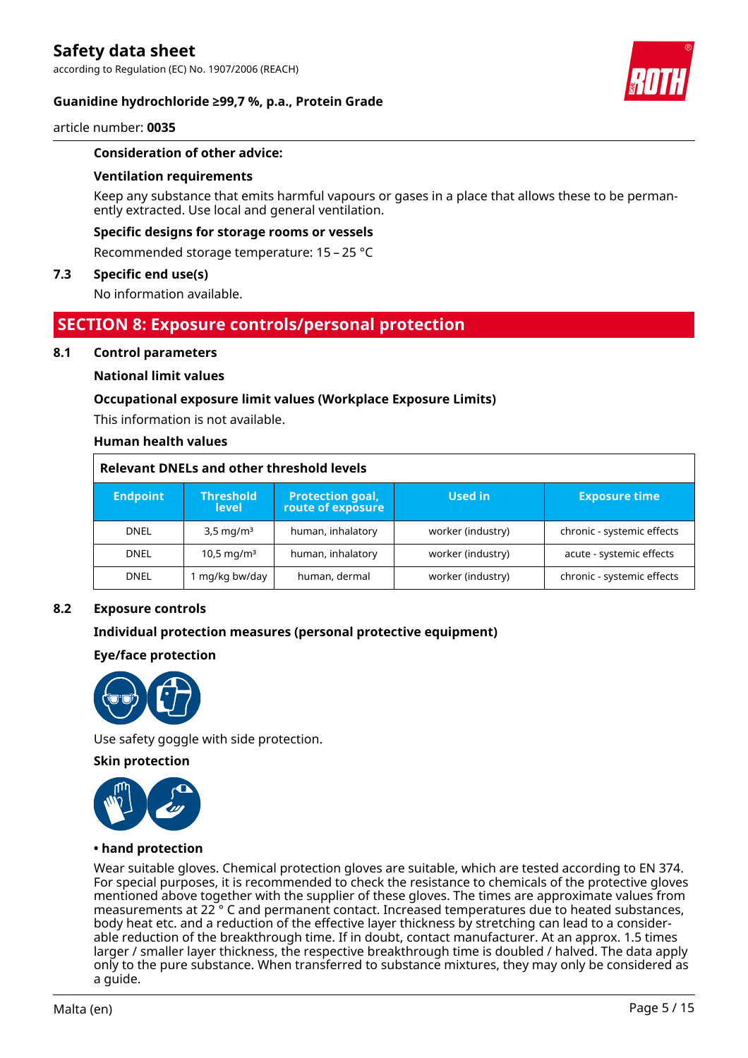according to Regulation (EC) No. 1907/2006 (REACH)

### **Guanidine hydrochloride ≥99,7 %, p.a., Protein Grade**



#### article number: **0035**

#### **Consideration of other advice:**

#### **Ventilation requirements**

Keep any substance that emits harmful vapours or gases in a place that allows these to be permanently extracted. Use local and general ventilation.

#### **Specific designs for storage rooms or vessels**

Recommended storage temperature: 15 – 25 °C

#### **7.3 Specific end use(s)**

No information available.

# **SECTION 8: Exposure controls/personal protection**

#### **8.1 Control parameters**

#### **National limit values**

#### **Occupational exposure limit values (Workplace Exposure Limits)**

This information is not available.

#### **Human health values**

### **Relevant DNELs and other threshold levels**

| <b>Endpoint</b> | <b>Threshold</b><br><b>level</b> | <b>Protection goal,</b><br>route of exposure | Used in<br><b>Exposure time</b> |                            |
|-----------------|----------------------------------|----------------------------------------------|---------------------------------|----------------------------|
| <b>DNEL</b>     | $3,5 \,\mathrm{mq/m^3}$          | human, inhalatory                            | worker (industry)               | chronic - systemic effects |
| <b>DNEL</b>     | 10,5 mg/m <sup>3</sup>           | human, inhalatory                            | worker (industry)               | acute - systemic effects   |
| <b>DNEL</b>     | mg/kg bw/day                     | human, dermal                                | worker (industry)               | chronic - systemic effects |

#### **8.2 Exposure controls**

#### **Individual protection measures (personal protective equipment)**

#### **Eye/face protection**



Use safety goggle with side protection.

#### **Skin protection**



#### **• hand protection**

Wear suitable gloves. Chemical protection gloves are suitable, which are tested according to EN 374. For special purposes, it is recommended to check the resistance to chemicals of the protective gloves mentioned above together with the supplier of these gloves. The times are approximate values from measurements at 22 ° C and permanent contact. Increased temperatures due to heated substances, body heat etc. and a reduction of the effective layer thickness by stretching can lead to a considerable reduction of the breakthrough time. If in doubt, contact manufacturer. At an approx. 1.5 times larger / smaller layer thickness, the respective breakthrough time is doubled / halved. The data apply only to the pure substance. When transferred to substance mixtures, they may only be considered as a guide.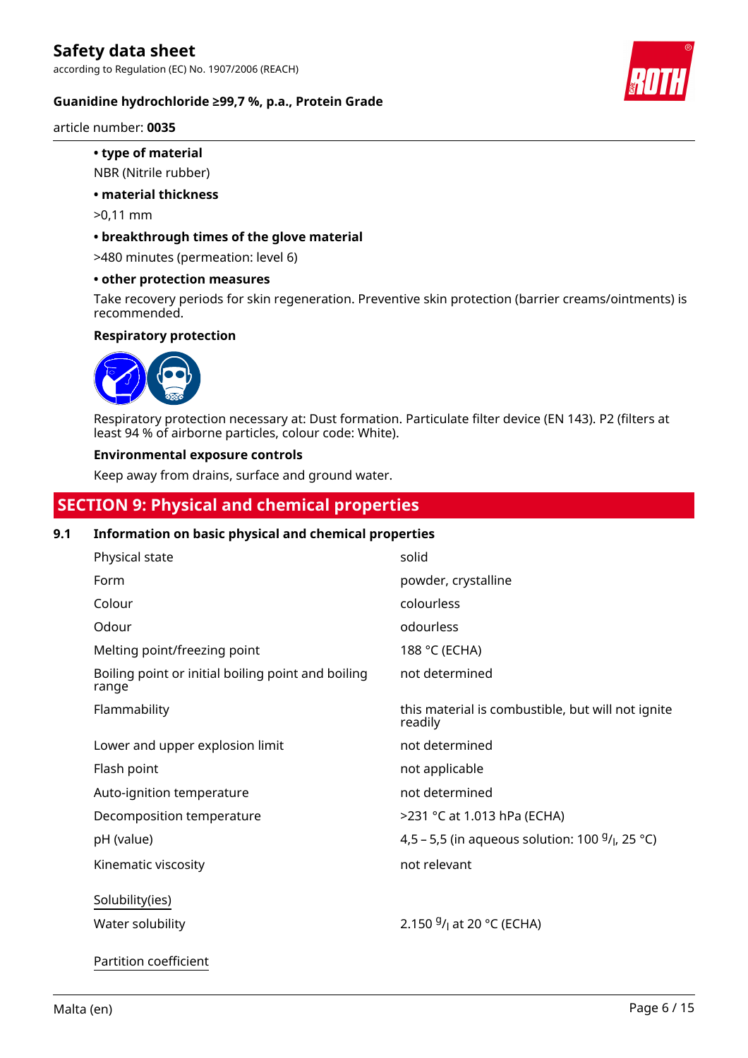**Guanidine hydrochloride ≥99,7 %, p.a., Protein Grade**

article number: **0035**

- **type of material**
- NBR (Nitrile rubber)
- **material thickness**
- >0,11 mm
- **breakthrough times of the glove material**

>480 minutes (permeation: level 6)

**• other protection measures**

Take recovery periods for skin regeneration. Preventive skin protection (barrier creams/ointments) is recommended.

#### **Respiratory protection**



Respiratory protection necessary at: Dust formation. Particulate filter device (EN 143). P2 (filters at least 94 % of airborne particles, colour code: White).

#### **Environmental exposure controls**

Keep away from drains, surface and ground water.

# **SECTION 9: Physical and chemical properties**

# **9.1 Information on basic physical and chemical properties**

| Physical state                                              | solid                                                        |
|-------------------------------------------------------------|--------------------------------------------------------------|
| Form                                                        | powder, crystalline                                          |
| Colour                                                      | colourless                                                   |
| Odour                                                       | odourless                                                    |
| Melting point/freezing point                                | 188 °C (ECHA)                                                |
| Boiling point or initial boiling point and boiling<br>range | not determined                                               |
| Flammability                                                | this material is combustible, but will not ignite<br>readily |
| Lower and upper explosion limit                             | not determined                                               |
| Flash point                                                 | not applicable                                               |
| Auto-ignition temperature                                   | not determined                                               |
| Decomposition temperature                                   | >231 °C at 1.013 hPa (ECHA)                                  |
| pH (value)                                                  | 4,5 – 5,5 (in aqueous solution: 100 $9/1$ , 25 °C)           |
| Kinematic viscosity                                         | not relevant                                                 |
| Solubility(ies)                                             |                                                              |
| Water solubility                                            | 2.150 $9/1$ at 20 °C (ECHA)                                  |



Partition coefficient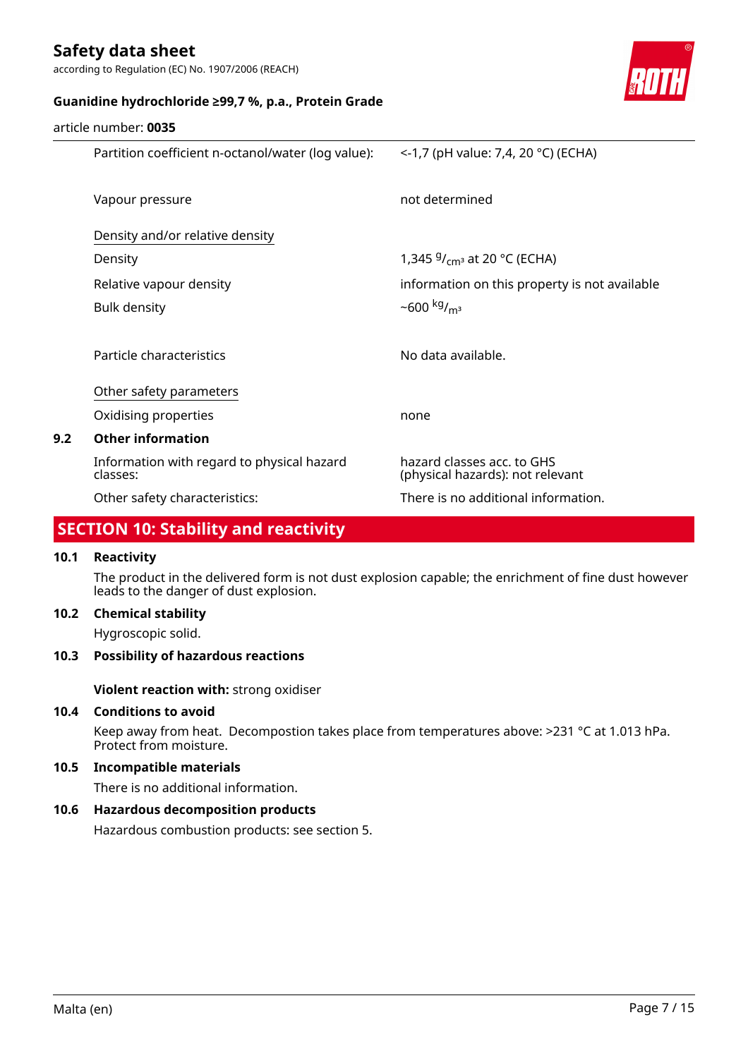article number: **0035**

according to Regulation (EC) No. 1907/2006 (REACH)



# **Guanidine hydrochloride ≥99,7 %, p.a., Protein Grade**

|     | Partition coefficient n-octanol/water (log value):     | <-1,7 (pH value: 7,4, 20 °C) (ECHA)                            |
|-----|--------------------------------------------------------|----------------------------------------------------------------|
|     | Vapour pressure                                        | not determined                                                 |
|     | Density and/or relative density                        |                                                                |
|     | Density                                                | 1,345 $9/$ <sub>cm</sub> at 20 °C (ECHA)                       |
|     | Relative vapour density                                | information on this property is not available                  |
|     | <b>Bulk density</b>                                    | ~600 kg/ <sub>m<sup>3</sup></sub>                              |
|     |                                                        |                                                                |
|     | Particle characteristics                               | No data available.                                             |
|     | Other safety parameters                                |                                                                |
|     | Oxidising properties                                   | none                                                           |
| 9.2 | <b>Other information</b>                               |                                                                |
|     | Information with regard to physical hazard<br>classes: | hazard classes acc. to GHS<br>(physical hazards): not relevant |
|     | Other safety characteristics:                          | There is no additional information.                            |

# **SECTION 10: Stability and reactivity**

# **10.1 Reactivity**

The product in the delivered form is not dust explosion capable; the enrichment of fine dust however leads to the danger of dust explosion.

# **10.2 Chemical stability**

Hygroscopic solid.

### **10.3 Possibility of hazardous reactions**

**Violent reaction with:** strong oxidiser

# **10.4 Conditions to avoid**

Keep away from heat. Decompostion takes place from temperatures above: >231 °C at 1.013 hPa. Protect from moisture.

### **10.5 Incompatible materials**

There is no additional information.

# **10.6 Hazardous decomposition products**

Hazardous combustion products: see section 5.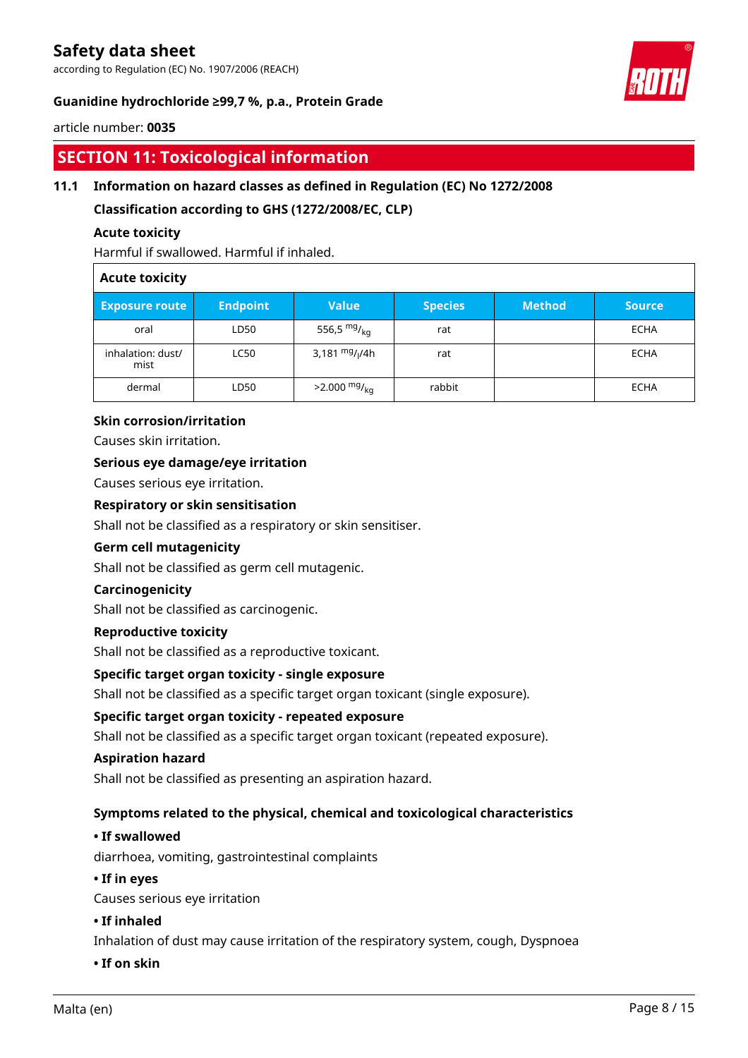according to Regulation (EC) No. 1907/2006 (REACH)

# **Guanidine hydrochloride ≥99,7 %, p.a., Protein Grade**



#### article number: **0035**

# **SECTION 11: Toxicological information**

# **11.1 Information on hazard classes as defined in Regulation (EC) No 1272/2008**

**Classification according to GHS (1272/2008/EC, CLP)**

#### **Acute toxicity**

Harmful if swallowed. Harmful if inhaled.

#### **Acute toxicity**

| <b>Exposure route</b>     | <b>Endpoint</b> | Value                      | <b>Species</b> | <b>Method</b> | <b>Source</b> |
|---------------------------|-----------------|----------------------------|----------------|---------------|---------------|
| oral                      | LD50            | 556,5 $mg/_{kq}$           | rat            |               | <b>ECHA</b>   |
| inhalation: dust/<br>mist | <b>LC50</b>     | 3,181 $mg/1/4h$            | rat            |               | <b>ECHA</b>   |
| dermal                    | LD50            | $>2.000$ mg/ <sub>kg</sub> | rabbit         |               | <b>ECHA</b>   |

#### **Skin corrosion/irritation**

Causes skin irritation.

### **Serious eye damage/eye irritation**

Causes serious eye irritation.

### **Respiratory or skin sensitisation**

Shall not be classified as a respiratory or skin sensitiser.

#### **Germ cell mutagenicity**

Shall not be classified as germ cell mutagenic.

#### **Carcinogenicity**

Shall not be classified as carcinogenic.

# **Reproductive toxicity**

Shall not be classified as a reproductive toxicant.

#### **Specific target organ toxicity - single exposure**

Shall not be classified as a specific target organ toxicant (single exposure).

#### **Specific target organ toxicity - repeated exposure**

Shall not be classified as a specific target organ toxicant (repeated exposure).

#### **Aspiration hazard**

Shall not be classified as presenting an aspiration hazard.

#### **Symptoms related to the physical, chemical and toxicological characteristics**

### **• If swallowed**

diarrhoea, vomiting, gastrointestinal complaints

#### **• If in eyes**

Causes serious eye irritation

#### **• If inhaled**

Inhalation of dust may cause irritation of the respiratory system, cough, Dyspnoea

#### **• If on skin**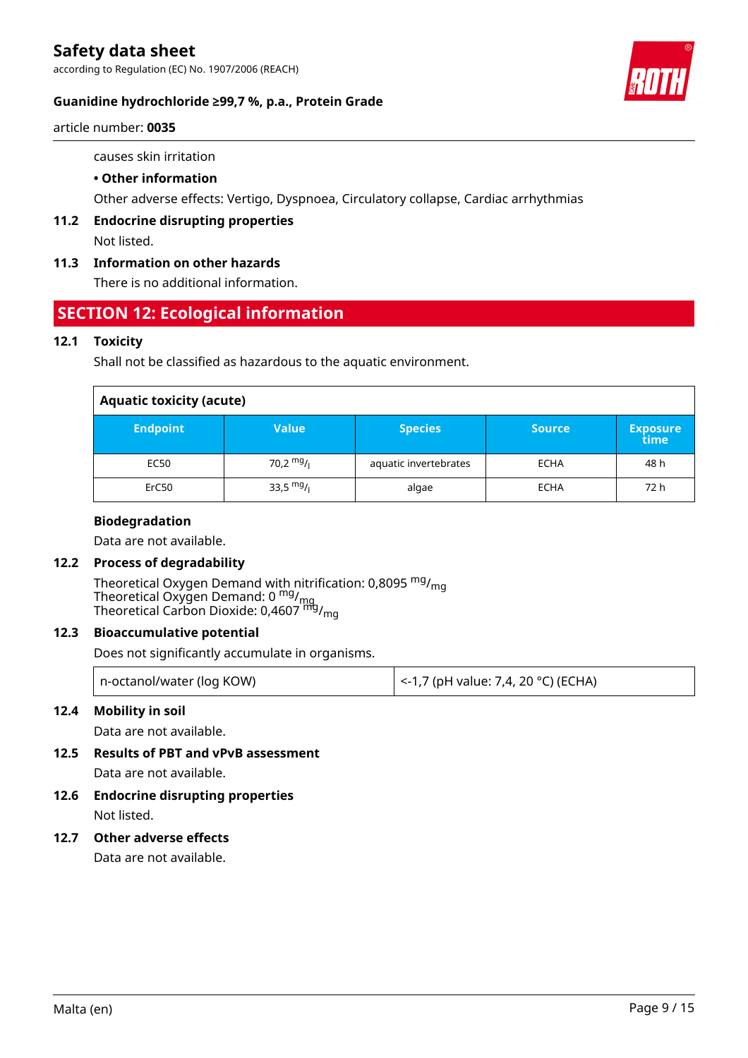according to Regulation (EC) No. 1907/2006 (REACH)



# **Guanidine hydrochloride ≥99,7 %, p.a., Protein Grade**

article number: **0035**

causes skin irritation

# **• Other information**

Other adverse effects: Vertigo, Dyspnoea, Circulatory collapse, Cardiac arrhythmias

**11.2 Endocrine disrupting properties** Not listed.

# **11.3 Information on other hazards**

There is no additional information.

# **SECTION 12: Ecological information**

# **12.1 Toxicity**

Shall not be classified as hazardous to the aquatic environment.

| <b>Aquatic toxicity (acute)</b> |             |                       |               |                         |
|---------------------------------|-------------|-----------------------|---------------|-------------------------|
| <b>Endpoint</b>                 | Value       | <b>Species</b>        | <b>Source</b> | <b>Exposure</b><br>time |
| EC50                            | 70,2 $mg/1$ | aquatic invertebrates | <b>ECHA</b>   | 48 h                    |
| ErC50                           | 33,5 $mg/1$ | algae                 | <b>ECHA</b>   | 72 h                    |

### **Biodegradation**

Data are not available.

# **12.2 Process of degradability**

Theoretical Oxygen Demand with nitrification: 0,8095 <sup>mg</sup>/<sub>mg</sub> Theoretical Oxygen Demand: 0 <sup>mg</sup>/<sub>mg</sub> Theoretical Carbon Dioxide: 0,4607 <sup>mg</sup>/<sub>mg</sub>

# **12.3 Bioaccumulative potential**

Does not significantly accumulate in organisms.

| n-octanol/water (log KOW) | <-1,7 (pH value: 7,4, 20 °C) (ECHA) |
|---------------------------|-------------------------------------|
|---------------------------|-------------------------------------|

# **12.4 Mobility in soil**

Data are not available.

**12.5 Results of PBT and vPvB assessment**

Data are not available.

**12.6 Endocrine disrupting properties** Not listed.

### **12.7 Other adverse effects**

Data are not available.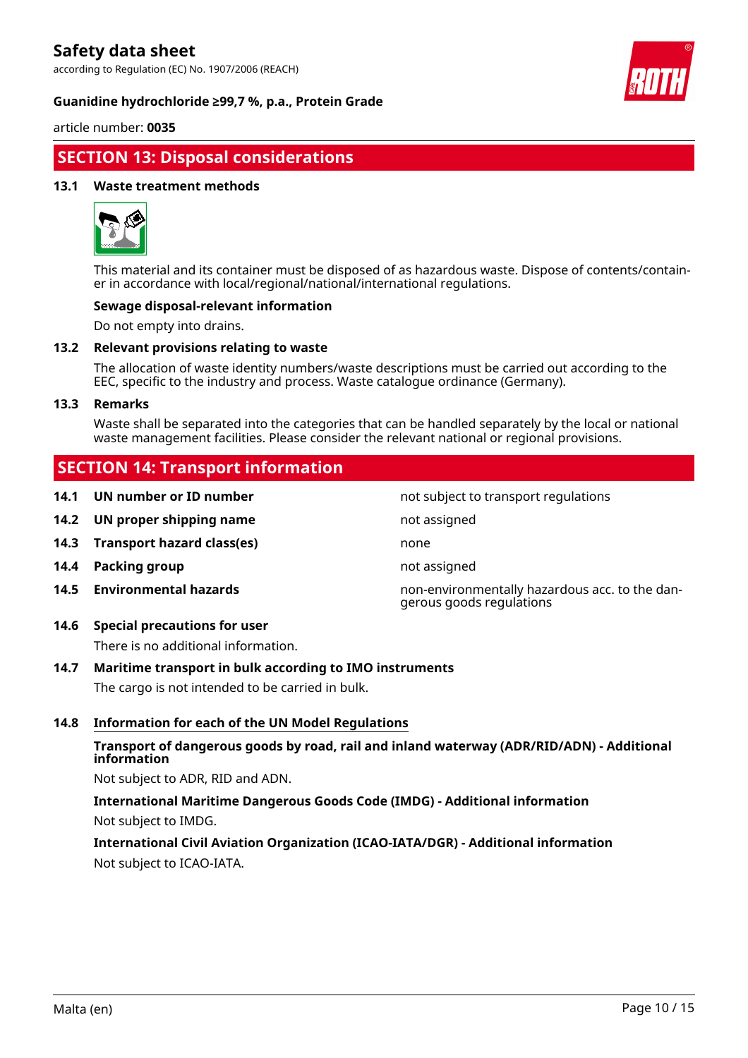according to Regulation (EC) No. 1907/2006 (REACH)

#### **Guanidine hydrochloride ≥99,7 %, p.a., Protein Grade**



article number: **0035**

# **SECTION 13: Disposal considerations**

#### **13.1 Waste treatment methods**



This material and its container must be disposed of as hazardous waste. Dispose of contents/container in accordance with local/regional/national/international regulations.

#### **Sewage disposal-relevant information**

Do not empty into drains.

#### **13.2 Relevant provisions relating to waste**

The allocation of waste identity numbers/waste descriptions must be carried out according to the EEC, specific to the industry and process. Waste catalogue ordinance (Germany).

#### **13.3 Remarks**

Waste shall be separated into the categories that can be handled separately by the local or national waste management facilities. Please consider the relevant national or regional provisions.

# **SECTION 14: Transport information**

- **14.1 UN number or ID number not subject to transport regulations**
- **14.2 UN proper shipping name not assigned not** assigned
- **14.3 Transport hazard class(es)** none
- **14.4 Packing group not assigned**
- 
- **14.6 Special precautions for user**

There is no additional information.

# **14.7 Maritime transport in bulk according to IMO instruments**

The cargo is not intended to be carried in bulk.

#### **14.8 Information for each of the UN Model Regulations**

# **Transport of dangerous goods by road, rail and inland waterway (ADR/RID/ADN) - Additional information**

Not subject to ADR, RID and ADN.

**International Maritime Dangerous Goods Code (IMDG) - Additional information** Not subject to IMDG.

**International Civil Aviation Organization (ICAO-IATA/DGR) - Additional information** Not subject to ICAO-IATA.

**14.5 Environmental hazards** non-environmentally hazardous acc. to the dangerous goods regulations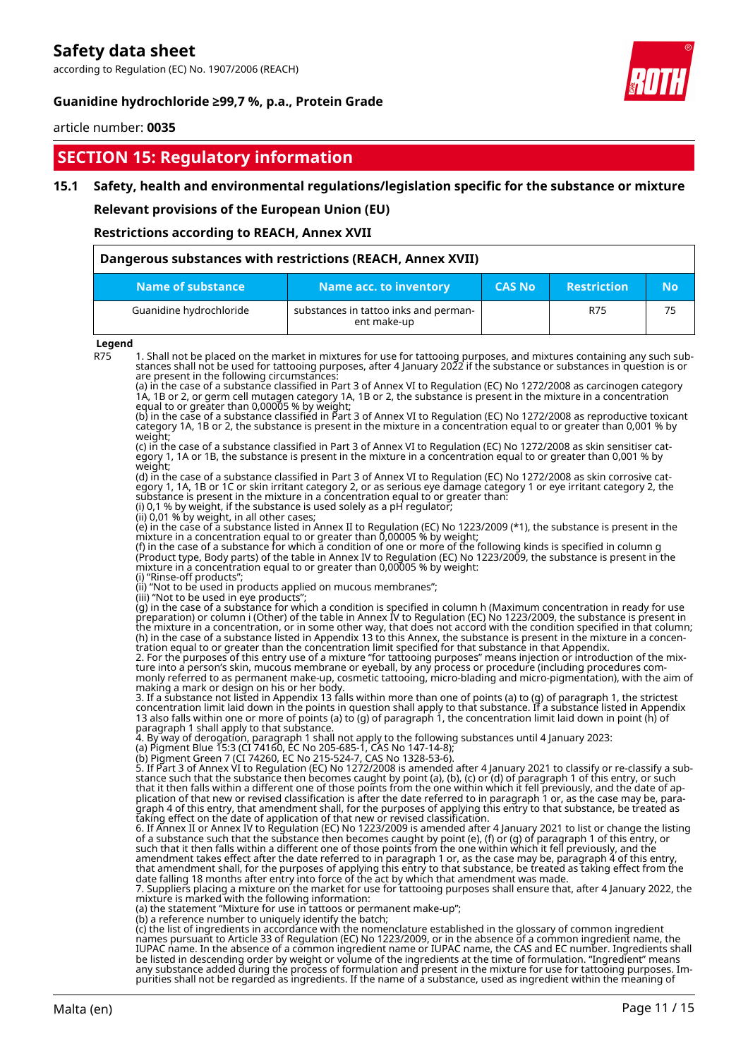according to Regulation (EC) No. 1907/2006 (REACH)

### **Guanidine hydrochloride ≥99,7 %, p.a., Protein Grade**



article number: **0035**

# **SECTION 15: Regulatory information**

#### **15.1 Safety, health and environmental regulations/legislation specific for the substance or mixture**

**Relevant provisions of the European Union (EU)**

**Restrictions according to REACH, Annex XVII**

| Dangerous substances with restrictions (REACH, Annex XVII) |                                                      |               |                    |           |
|------------------------------------------------------------|------------------------------------------------------|---------------|--------------------|-----------|
| Name of substance                                          | Name acc. to inventory                               | <b>CAS No</b> | <b>Restriction</b> | <b>No</b> |
| Guanidine hydrochloride                                    | substances in tattoo inks and perman-<br>ent make-up |               | <b>R75</b>         | 75        |

#### **Legend**

R75 1. Shall not be placed on the market in mixtures for use for tattooing purposes, and mixtures containing any such substances shall not be used for tattooing purposes, after 4 January 2022 if the substance or substances in question is or are present in the following circumstances: (a) in the case of a substance classified in Part 3 of Annex VI to Regulation (EC) No 1272/2008 as carcinogen category 1A, 1B or 2, or germ cell mutagen category 1A, 1B or 2, the substance is present in the mixture in a concentration equal to or greater than 0,00005 % by weight; (b) in the case of a substance classified in Part 3 of Annex VI to Regulation (EC) No 1272/2008 as reproductive toxicant category 1A, 1B or 2, the substance is present in the mixture in a concentration equal to or greater than 0,001 % by weight; (c) in the case of a substance classified in Part 3 of Annex VI to Regulation (EC) No 1272/2008 as skin sensitiser category 1, 1A or 1B, the substance is present in the mixture in a concentration equal to or greater than 0,001 % by weight; (d) in the case of a substance classified in Part 3 of Annex VI to Regulation (EC) No 1272/2008 as skin corrosive category 1, 1A, 1B or 1C or skin irritant category 2, or as serious eye damage category 1 or eye irritant category 2, the substance is present in the mixture in a concentration equal to or greater than: (i) 0,1 % by weight, if the substance is used solely as a pH regulator; (ii) 0,01 % by weight, in all other cases; (e) in the case of a substance listed in Annex II to Regulation (EC) No 1223/2009 (\*1), the substance is present in the mixture in a concentration equal to or greater than 0,00005 % by weight; (f) in the case of a substance for which a condition of one or more of the following kinds is specified in column g (Product type, Body parts) of the table in Annex IV to Regulation (EC) No 1223/2009, the substance is present in the mixture in a concentration equal to or greater than 0,00005 % by weight: (i) "Rinse-off products"; (ii) "Not to be used in products applied on mucous membranes"; (iii) "Not to be used in eye products"; (g) in the case of a substance for which a condition is specified in column h (Maximum concentration in ready for use preparation) or column i (Other) of the table in Annex IV to Regulation (EC) No 1223/2009, the substance is present in the mixture in a concentration, or in some other way, that does not accord with the condition specified in that column; (h) in the case of a substance listed in Appendix 13 to this Annex, the substance is present in the mixture in a concentration equal to or greater than the concentration limit specified for that substance in that Appendix. 2. For the purposes of this entry use of a mixture "for tattooing purposes" means injection or introduction of the mixture into a person's skin, mucous membrane or eyeball, by any process or procedure (including procedures commonly referred to as permanent make-up, cosmetic tattooing, micro-blading and micro-pigmentation), with the aim of making a mark or design on his or her body. 3. If a substance not listed in Appendix 13 falls within more than one of points (a) to (g) of paragraph 1, the strictest concentration limit laid down in the points in question shall apply to that substance. If a substance listed in Appendix 13 also falls within one or more of points (a) to (g) of paragraph 1, the concentration limit laid down in point (h) of paragraph 1 shall apply to that substance. 4. By way of derogation, paragraph 1 shall not apply to the following substances until 4 January 2023: (a) Pigment Blue 15:3 (CI 74160, EC No 205-685-1, CAS No 147-14-8); (b) Pigment Green 7 (CI 74260, EC No 215-524-7, CAS No 1328-53-6). 5. If Part 3 of Annex VI to Regulation (EC) No 1272/2008 is amended after 4 January 2021 to classify or re-classify a substance such that the substance then becomes caught by point (a), (b), (c) or (d) of paragraph 1 of this entry, or such that it then falls within a different one of those points from the one within which it fell previously, and the date of application of that new or revised classification is after the date referred to in paragraph 1 or, as the case may be, paragraph 4 of this entry, that amendment shall, for the purposes of applying this entry to that substance, be treated as taking effect on the date of application of that new or revised classification. 6. If Annex II or Annex IV to Regulation (EC) No 1223/2009 is amended after 4 January 2021 to list or change the listing of a substance such that the substance then becomes caught by point (e), (f) or (g) of paragraph 1 of this entry, or such that it then falls within a different one of those points from the one within which it fell previously, and the amendment takes effect after the date referred to in paragraph 1 or, as the case may be, paragraph 4 of this entry, that amendment shall, for the purposes of applying this entry to that substance, be treated as taking effect from the date falling 18 months after entry into force of the act by which that amendment was made. 7. Suppliers placing a mixture on the market for use for tattooing purposes shall ensure that, after 4 January 2022, the mixture is marked with the following information: (a) the statement "Mixture for use in tattoos or permanent make-up"; (b) a reference number to uniquely identify the batch; (c) the list of ingredients in accordance with the nomenclature established in the glossary of common ingredient names pursuant to Article 33 of Regulation (EC) No 1223/2009, or in the absence of a common ingredient name, the IUPAC name. In the absence of a common ingredient name or IUPAC name, the CAS and EC number. Ingredients shall be listed in descending order by weight or volume of the ingredients at the time of formulation. "Ingredient" means any substance added during the process of formulation and present in the mixture for use for tattooing purposes. Im-

purities shall not be regarded as ingredients. If the name of a substance, used as ingredient within the meaning of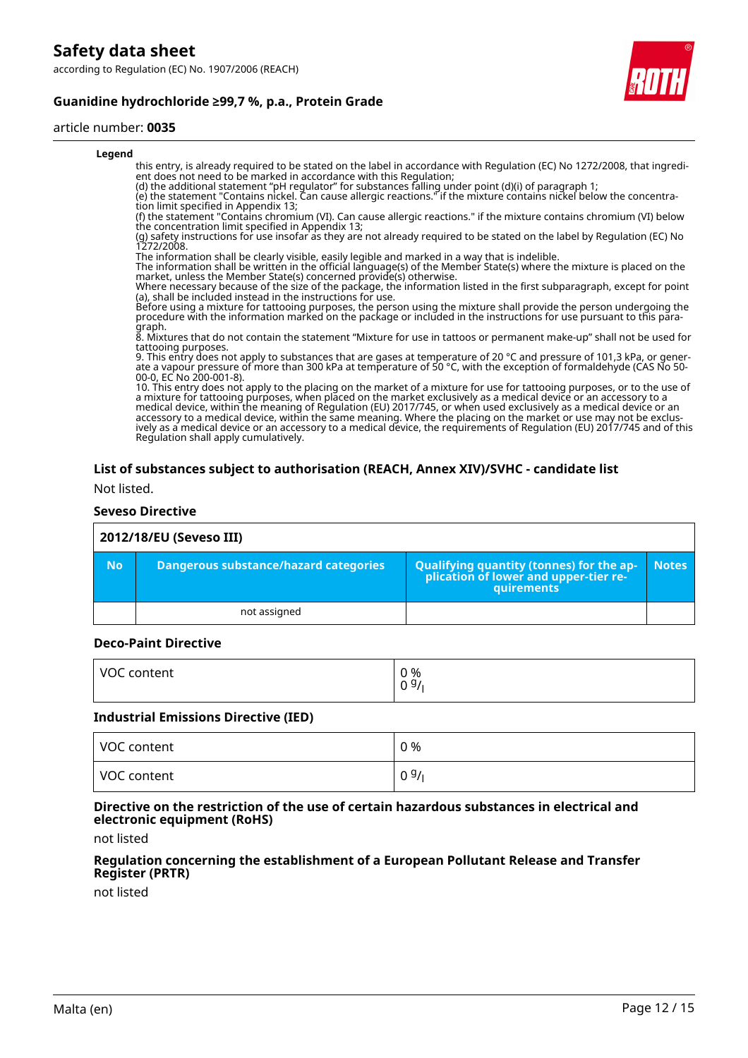according to Regulation (EC) No. 1907/2006 (REACH)





#### article number: **0035**

#### **Legend**

this entry, is already required to be stated on the label in accordance with Regulation (EC) No 1272/2008, that ingredient does not need to be marked in accordance with this Regulation;

(d) the additional statement "pH regulator" for substances falling under point (d)(i) of paragraph 1;

(e) the statement "Contains nickel. Can cause allergic reactions." if the mixture contains nickel below the concentration limit specified in Appendix 13;

(f) the statement "Contains chromium (VI). Can cause allergic reactions." if the mixture contains chromium (VI) below the concentration limit specified in Appendix 13;

(g) safety instructions for use insofar as they are not already required to be stated on the label by Regulation (EC) No 1272/2008.

The information shall be clearly visible, easily legible and marked in a way that is indelible.

The information shall be written in the official language(s) of the Member State(s) where the mixture is placed on the market, unless the Member State(s) concerned provide(s) otherwise.

Where necessary because of the size of the package, the information listed in the first subparagraph, except for point (a), shall be included instead in the instructions for use.

Before using a mixture for tattooing purposes, the person using the mixture shall provide the person undergoing the procedure with the information marked on the package or included in the instructions for use pursuant to this paragraph.

8. Mixtures that do not contain the statement "Mixture for use in tattoos or permanent make-up" shall not be used for tattooing purposes.

9. This entry does not apply to substances that are gases at temperature of 20 °C and pressure of 101,3 kPa, or generate a vapour pressure of more than 300 kPa at temperature of 50 °C, with the exception of formaldehyde (CAS No 50- 00-0, EC No 200-001-8).

10. This entry does not apply to the placing on the market of a mixture for use for tattooing purposes, or to the use of a mixture for tattooing purposes, when placed on the market exclusively as a medical device or an accessory to a medical device, within the meaning of Regulation (EU) 2017/745, or when used exclusively as a medical device or an accessory to a medical device, within the same meaning. Where the placing on the market or use may not be exclusively as a medical device or an accessory to a medical device, the requirements of Regulation (EU) 2017/745 and of this Regulation shall apply cumulatively.

# **List of substances subject to authorisation (REACH, Annex XIV)/SVHC - candidate list**

Not listed.

#### **Seveso Directive**

| 2012/18/EU (Seveso III) |                                              |                                                                                                        |              |
|-------------------------|----------------------------------------------|--------------------------------------------------------------------------------------------------------|--------------|
| <b>No</b>               | <b>Dangerous substance/hazard categories</b> | <b>Qualifying quantity (tonnes) for the ap-</b><br>plication of lower and upper-tier re-<br>quirements | <b>Notes</b> |
|                         | not assigned                                 |                                                                                                        |              |

#### **Deco-Paint Directive**

| VOC content | $0\frac{9}{6}$<br>◡ |
|-------------|---------------------|
|             |                     |

#### **Industrial Emissions Directive (IED)**

| VOC content | 0 % |
|-------------|-----|
| VOC content | 09/ |

#### **Directive on the restriction of the use of certain hazardous substances in electrical and electronic equipment (RoHS)**

not listed

#### **Regulation concerning the establishment of a European Pollutant Release and Transfer Register (PRTR)**

not listed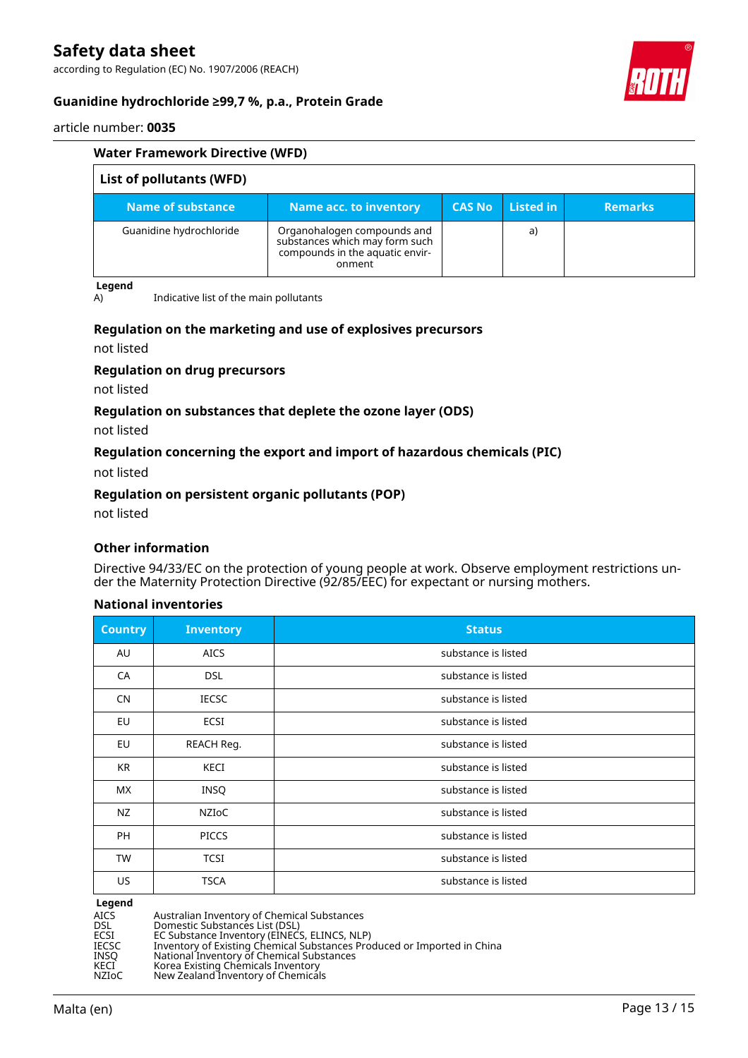according to Regulation (EC) No. 1907/2006 (REACH)



# **Guanidine hydrochloride ≥99,7 %, p.a., Protein Grade**

article number: **0035**

| <b>Water Framework Directive (WFD)</b> |                                                                                                            |               |                  |                |
|----------------------------------------|------------------------------------------------------------------------------------------------------------|---------------|------------------|----------------|
| List of pollutants (WFD)               |                                                                                                            |               |                  |                |
| Name of substance                      | Name acc. to inventory                                                                                     | <b>CAS No</b> | <b>Listed in</b> | <b>Remarks</b> |
| Guanidine hydrochloride                | Organohalogen compounds and<br>substances which may form such<br>compounds in the aquatic envir-<br>onment |               | a)               |                |

**Legend**

A) Indicative list of the main pollutants

# **Regulation on the marketing and use of explosives precursors**

not listed

#### **Regulation on drug precursors**

not listed

# **Regulation on substances that deplete the ozone layer (ODS)**

not listed

# **Regulation concerning the export and import of hazardous chemicals (PIC)**

not listed

#### **Regulation on persistent organic pollutants (POP)**

not listed

### **Other information**

Directive 94/33/EC on the protection of young people at work. Observe employment restrictions under the Maternity Protection Directive (92/85/EEC) for expectant or nursing mothers.

### **National inventories**

| Country   | <b>Inventory</b> | <b>Status</b>       |
|-----------|------------------|---------------------|
| AU        | <b>AICS</b>      | substance is listed |
| CA        | <b>DSL</b>       | substance is listed |
| <b>CN</b> | <b>IECSC</b>     | substance is listed |
| EU        | ECSI             | substance is listed |
| EU        | REACH Reg.       | substance is listed |
| KR        | KECI             | substance is listed |
| <b>MX</b> | INSQ             | substance is listed |
| NZ        | NZIOC            | substance is listed |
| PH        | <b>PICCS</b>     | substance is listed |
| <b>TW</b> | <b>TCSI</b>      | substance is listed |
| US        | <b>TSCA</b>      | substance is listed |

**Legend**

AICS Australian Inventory of Chemical Substances<br>
DSL Domestic Substances List (DSL)<br>
ECSI EC Substance Inventory (EINECS, ELINCS, NLI DSL Domestic Substances List (DSL) ECSI EC Substance Inventory (EINECS, ELINCS, NLP) IECSC Inventory of Existing Chemical Substances Produced or Imported in China INSQ National Inventory of Chemical Substances KECI Korea Existing Chemicals Inventory NZIoC New Zealand Inventory of Chemicals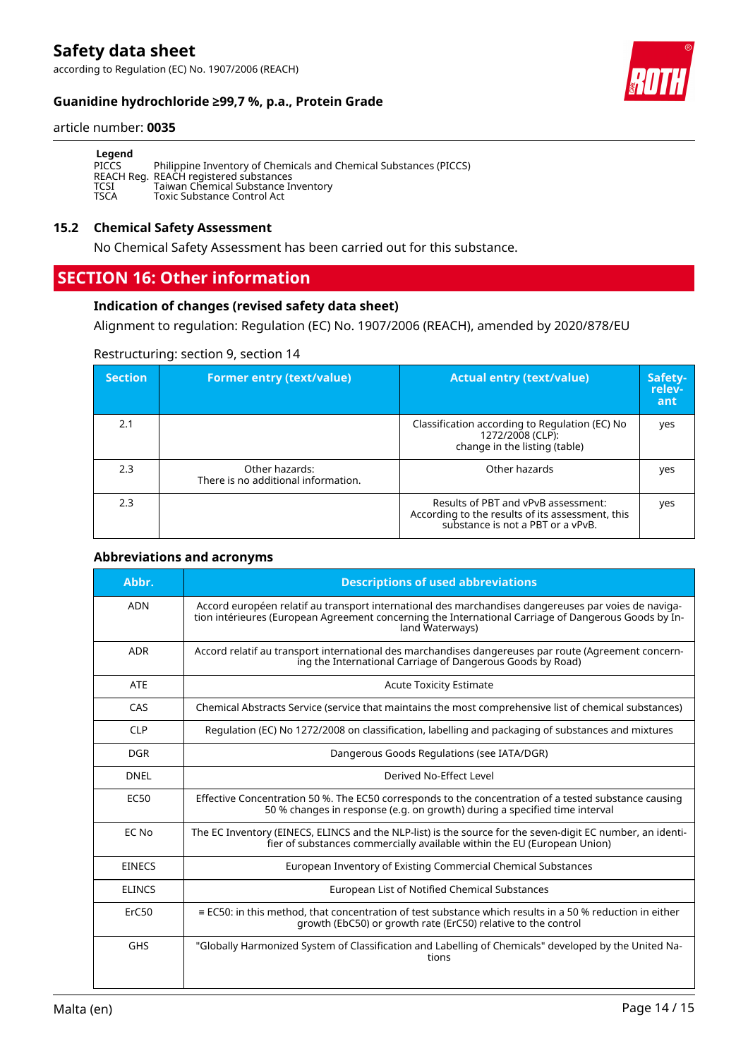according to Regulation (EC) No. 1907/2006 (REACH)





#### article number: **0035**

| Legend      |                                                                   |
|-------------|-------------------------------------------------------------------|
| PICCS       | Philippine Inventory of Chemicals and Chemical Substances (PICCS) |
|             | REACH Reg. REACH registered substances                            |
| TCSI        | Taiwan Chemical Substance Inventory                               |
| <b>TSCA</b> | Toxic Substance Control Act                                       |

#### **15.2 Chemical Safety Assessment**

No Chemical Safety Assessment has been carried out for this substance.

# **SECTION 16: Other information**

### **Indication of changes (revised safety data sheet)**

Alignment to regulation: Regulation (EC) No. 1907/2006 (REACH), amended by 2020/878/EU

# Restructuring: section 9, section 14

| <b>Section</b> | <b>Former entry (text/value)</b>                      | <b>Actual entry (text/value)</b>                                                                                             | Safety-<br>relev-<br>ant |
|----------------|-------------------------------------------------------|------------------------------------------------------------------------------------------------------------------------------|--------------------------|
| 2.1            |                                                       | Classification according to Regulation (EC) No<br>1272/2008 (CLP):<br>change in the listing (table)                          | yes                      |
| 2.3            | Other hazards:<br>There is no additional information. | Other hazards                                                                                                                | yes                      |
| 2.3            |                                                       | Results of PBT and vPvB assessment:<br>According to the results of its assessment, this<br>substance is not a PBT or a vPvB. | yes                      |

#### **Abbreviations and acronyms**

| Abbr.         | <b>Descriptions of used abbreviations</b>                                                                                                                                                                                       |
|---------------|---------------------------------------------------------------------------------------------------------------------------------------------------------------------------------------------------------------------------------|
| <b>ADN</b>    | Accord européen relatif au transport international des marchandises dangereuses par voies de naviga-<br>tion intérieures (European Agreement concerning the International Carriage of Dangerous Goods by In-<br>land Waterways) |
| <b>ADR</b>    | Accord relatif au transport international des marchandises dangereuses par route (Agreement concern-<br>ing the International Carriage of Dangerous Goods by Road)                                                              |
| <b>ATE</b>    | <b>Acute Toxicity Estimate</b>                                                                                                                                                                                                  |
| CAS           | Chemical Abstracts Service (service that maintains the most comprehensive list of chemical substances)                                                                                                                          |
| <b>CLP</b>    | Regulation (EC) No 1272/2008 on classification, labelling and packaging of substances and mixtures                                                                                                                              |
| <b>DGR</b>    | Dangerous Goods Regulations (see IATA/DGR)                                                                                                                                                                                      |
| <b>DNEL</b>   | Derived No-Effect Level                                                                                                                                                                                                         |
| <b>EC50</b>   | Effective Concentration 50 %. The EC50 corresponds to the concentration of a tested substance causing<br>50 % changes in response (e.g. on growth) during a specified time interval                                             |
| EC No         | The EC Inventory (EINECS, ELINCS and the NLP-list) is the source for the seven-digit EC number, an identi-<br>fier of substances commercially available within the EU (European Union)                                          |
| <b>EINECS</b> | European Inventory of Existing Commercial Chemical Substances                                                                                                                                                                   |
| <b>ELINCS</b> | European List of Notified Chemical Substances                                                                                                                                                                                   |
| ErC50         | $\equiv$ EC50: in this method, that concentration of test substance which results in a 50 % reduction in either<br>growth (EbC50) or growth rate (ErC50) relative to the control                                                |
| <b>GHS</b>    | "Globally Harmonized System of Classification and Labelling of Chemicals" developed by the United Na-<br>tions                                                                                                                  |